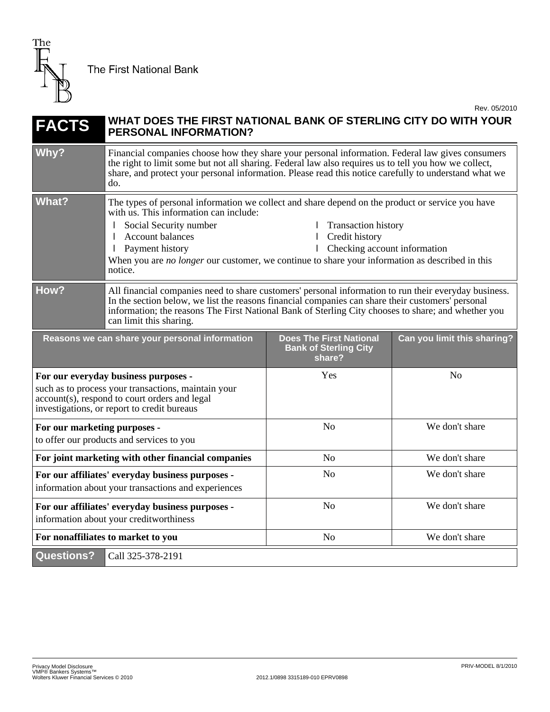

**The First National Bank** 

Rev. 05/2010

## **FACTS WHAT DOES THE FIRST NATIONAL BANK OF STERLING CITY DO WITH YOUR PERSONAL INFORMATION?** Why? Financial companies choose how they share your personal information. Federal law gives consumers the right to limit some but not all sharing. Federal law also requires us to tell you how we collect, share, and protect your personal information. Please read this notice carefully to understand what we do. What? The types of personal information we collect and share depend on the product or service you have with us. This information can include: Social Security number l Account balances l Payment history l Transaction history l Credit history l Checking account information When you are *no longer* our customer, we continue to share your information as described in this notice. **How?** All financial companies need to share customers' personal information to run their everyday business. In the section below, we list the reasons financial companies can share their customers' personal information; the reasons The First National Bank of Sterling City chooses to share; and whether you can limit this sharing. **Reasons we can share your personal information budget Does The First National Bank of Sterling City share? Can you limit this sharing? For our everyday business purposes**  such as to process your transactions, maintain your account(s), respond to court orders and legal investigations, or report to credit bureaus Yes No **For our marketing purposes**  to offer our products and services to you No We don't share **For joint marketing with other financial companies** No No We don't share **For our affiliates' everyday business purposes**  information about your transactions and experiences No We don't share **For our affiliates' everyday business purposes**  information about your creditworthiness No We don't share **For nonaffiliates to market to you has a set of the Second Second Second Second Second Second Second Second Second Second Second Second Second Second Second Second Second Second Second Second Second Second Second Second S Questions?** Call 325-378-2191